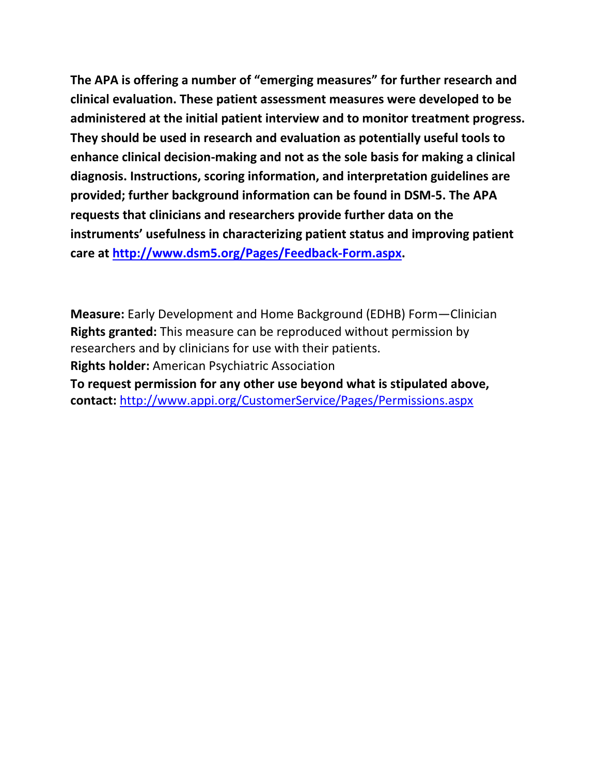**The APA is offering a number of "emerging measures" for further research and clinical evaluation. These patient assessment measures were developed to be administered at the initial patient interview and to monitor treatment progress. They should be used in research and evaluation as potentially useful tools to enhance clinical decision-making and not as the sole basis for making a clinical diagnosis. Instructions, scoring information, and interpretation guidelines are provided; further background information can be found in DSM-5. The APA requests that clinicians and researchers provide further data on the instruments' usefulness in characterizing patient status and improving patient care at [http://www.dsm5.org/Pages/Feedback-Form.aspx.](http://www.dsm5.org/Pages/Feedback-Form.aspx)**

**Measure:** Early Development and Home Background (EDHB) Form—Clinician **Rights granted:** This measure can be reproduced without permission by researchers and by clinicians for use with their patients. **Rights holder:** American Psychiatric Association **To request permission for any other use beyond what is stipulated above, contact:** <http://www.appi.org/CustomerService/Pages/Permissions.aspx>